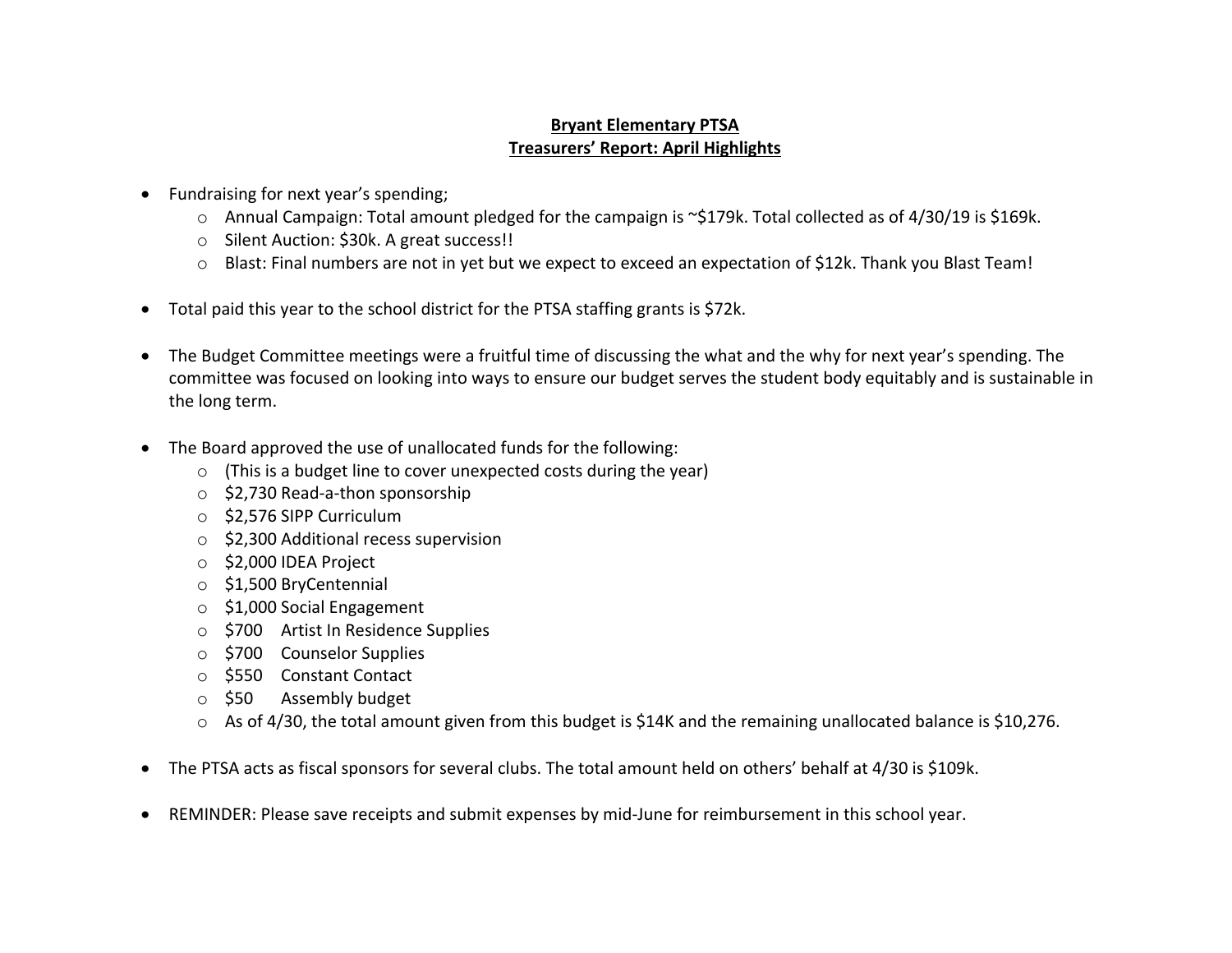## **Bryant Elementary PTSA Treasurers' Report: April Highlights**

- Fundraising for next year's spending;
	- o Annual Campaign: Total amount pledged for the campaign is ~\$179k. Total collected as of 4/30/19 is \$169k.
	- o Silent Auction: \$30k. A great success!!
	- o Blast: Final numbers are not in yet but we expect to exceed an expectation of \$12k. Thank you Blast Team!
- Total paid this year to the school district for the PTSA staffing grants is \$72k.
- The Budget Committee meetings were a fruitful time of discussing the what and the why for next year's spending. The committee was focused on looking into ways to ensure our budget serves the student body equitably and is sustainable in the long term.
- The Board approved the use of unallocated funds for the following:
	- o (This is a budget line to cover unexpected costs during the year)
	- o \$2,730 Read-a-thon sponsorship
	- o \$2,576 SIPP Curriculum
	- o \$2,300 Additional recess supervision
	- o \$2,000 IDEA Project
	- o \$1,500 BryCentennial
	- o \$1,000 Social Engagement
	- o \$700 Artist In Residence Supplies
	- o \$700 Counselor Supplies
	- o \$550 Constant Contact
	- o \$50 Assembly budget
	- $\circ$  As of 4/30, the total amount given from this budget is \$14K and the remaining unallocated balance is \$10,276.
- The PTSA acts as fiscal sponsors for several clubs. The total amount held on others' behalf at 4/30 is \$109k.
- REMINDER: Please save receipts and submit expenses by mid-June for reimbursement in this school year.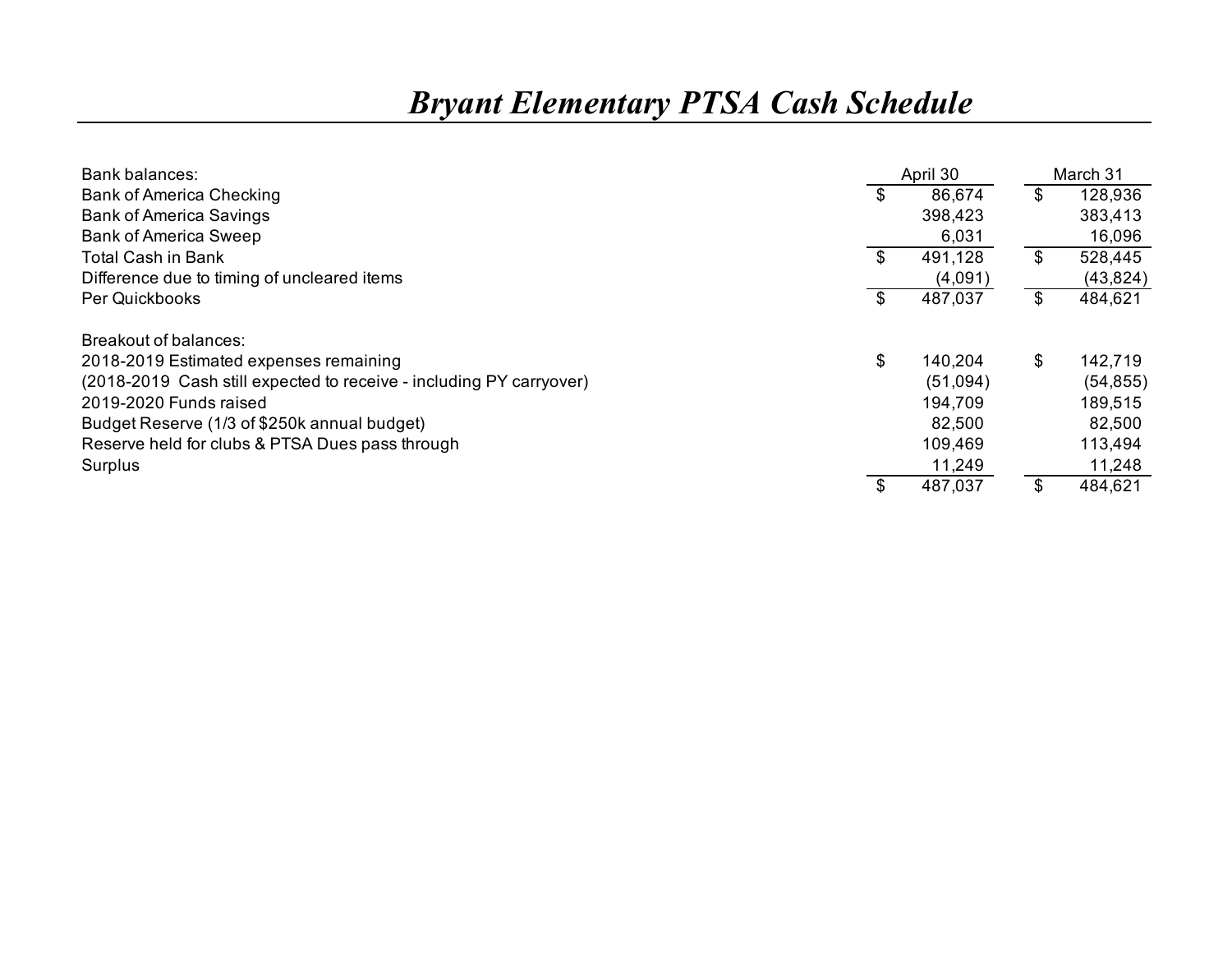## *Bryant Elementary PTSA Cash Schedule*

| Bank balances:                                                      | April 30      | March 31      |
|---------------------------------------------------------------------|---------------|---------------|
| <b>Bank of America Checking</b>                                     | \$<br>86,674  | \$<br>128,936 |
| <b>Bank of America Savings</b>                                      | 398,423       | 383,413       |
| <b>Bank of America Sweep</b>                                        | 6,031         | 16,096        |
| <b>Total Cash in Bank</b>                                           | \$<br>491,128 | \$<br>528,445 |
| Difference due to timing of uncleared items                         | (4,091)       | (43, 824)     |
| Per Quickbooks                                                      | 487,037       | \$<br>484,621 |
| Breakout of balances:                                               |               |               |
| 2018-2019 Estimated expenses remaining                              | \$<br>140,204 | \$<br>142,719 |
| (2018-2019 Cash still expected to receive - including PY carryover) | (51,094)      | (54, 855)     |
| 2019-2020 Funds raised                                              | 194,709       | 189,515       |
| Budget Reserve (1/3 of \$250k annual budget)                        | 82,500        | 82,500        |
| Reserve held for clubs & PTSA Dues pass through                     | 109,469       | 113,494       |
| Surplus                                                             | 11,249        | 11,248        |
|                                                                     | 487,037       | \$<br>484,621 |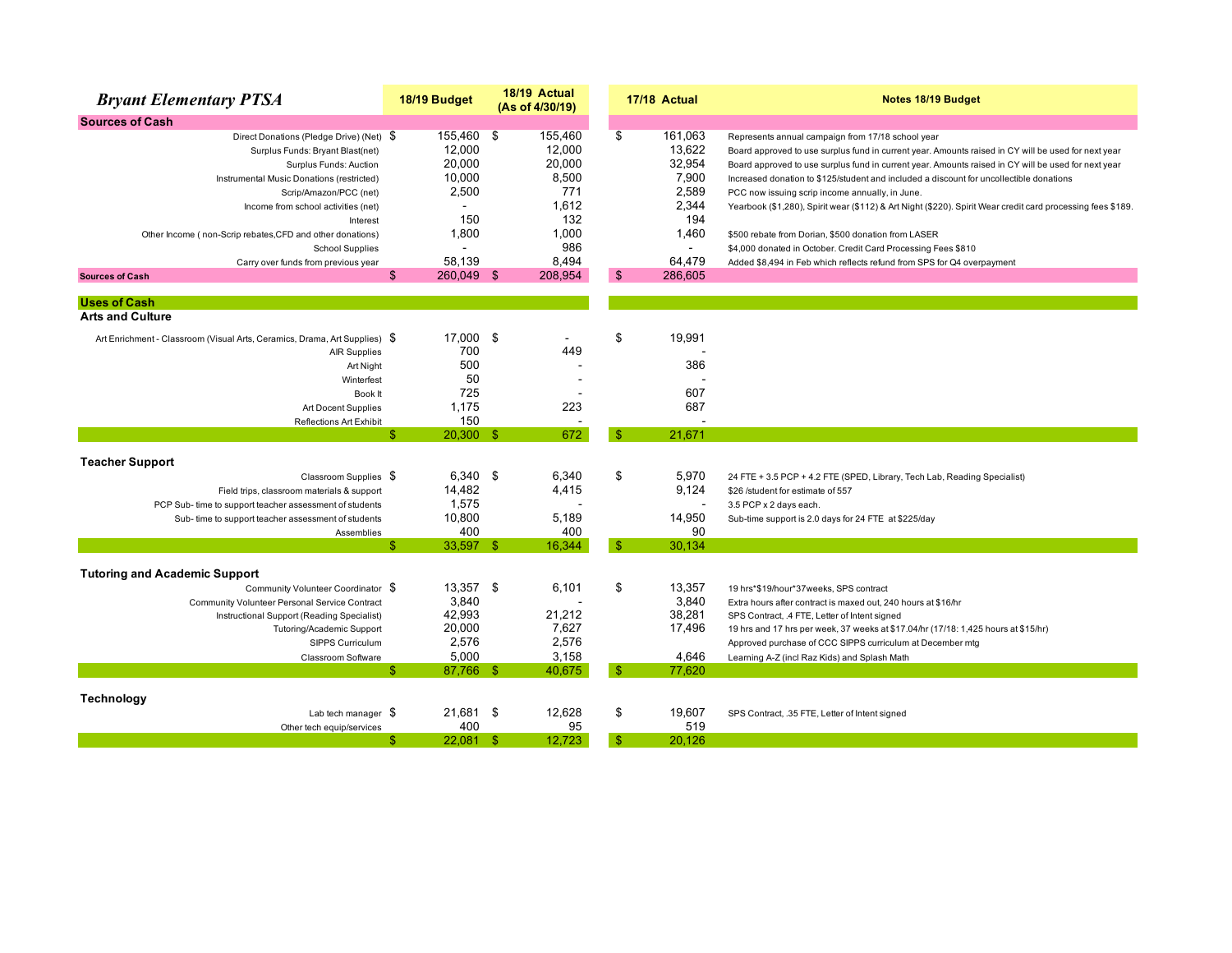| <b>Sources of Cash</b><br>155,460 \$<br>161,063<br>155,460<br>\$<br>Direct Donations (Pledge Drive) (Net) \$<br>Represents annual campaign from 17/18 school year<br>13,622<br>12,000<br>12,000<br>Surplus Funds: Bryant Blast(net)<br>20,000<br>20.000<br>32,954<br>Surplus Funds: Auction<br>7,900<br>10,000<br>8,500<br>Instrumental Music Donations (restricted)<br>Increased donation to \$125/student and included a discount for uncollectible donations<br>2,589<br>2,500<br>771<br>Scrip/Amazon/PCC (net)<br>PCC now issuing scrip income annually, in June.<br>2,344<br>1,612<br>Income from school activities (net)<br>150<br>132<br>194<br>Interest<br>1,800<br>1,000<br>1,460<br>Other Income (non-Scrip rebates, CFD and other donations)<br>\$500 rebate from Dorian, \$500 donation from LASER<br>986<br><b>School Supplies</b><br>$\overline{a}$<br>$\blacksquare$<br>\$4,000 donated in October. Credit Card Processing Fees \$810<br>58.139<br>8,494<br>64.479<br>Carry over funds from previous year<br>Added \$8,494 in Feb which reflects refund from SPS for Q4 overpayment<br>$\mathfrak{s}$<br>\$<br>260,049 \$<br>208,954<br>286,605<br><b>Sources of Cash</b><br><b>Uses of Cash</b><br><b>Arts and Culture</b><br>-\$<br>\$<br>17,000<br>19,991<br>Art Enrichment - Classroom (Visual Arts, Ceramics, Drama, Art Supplies) \$<br>700<br>449<br><b>AIR Supplies</b><br>500<br>386<br>Art Night<br>50<br>Winterfest<br>725<br>607<br>Book It | <b>Bryant Elementary PTSA</b> | 18/19 Budget | 18/19 Actual<br>(As of 4/30/19) | 17/18 Actual | Notes 18/19 Budget                                                                                          |
|------------------------------------------------------------------------------------------------------------------------------------------------------------------------------------------------------------------------------------------------------------------------------------------------------------------------------------------------------------------------------------------------------------------------------------------------------------------------------------------------------------------------------------------------------------------------------------------------------------------------------------------------------------------------------------------------------------------------------------------------------------------------------------------------------------------------------------------------------------------------------------------------------------------------------------------------------------------------------------------------------------------------------------------------------------------------------------------------------------------------------------------------------------------------------------------------------------------------------------------------------------------------------------------------------------------------------------------------------------------------------------------------------------------------------------------------------------------------|-------------------------------|--------------|---------------------------------|--------------|-------------------------------------------------------------------------------------------------------------|
|                                                                                                                                                                                                                                                                                                                                                                                                                                                                                                                                                                                                                                                                                                                                                                                                                                                                                                                                                                                                                                                                                                                                                                                                                                                                                                                                                                                                                                                                        |                               |              |                                 |              |                                                                                                             |
|                                                                                                                                                                                                                                                                                                                                                                                                                                                                                                                                                                                                                                                                                                                                                                                                                                                                                                                                                                                                                                                                                                                                                                                                                                                                                                                                                                                                                                                                        |                               |              |                                 |              |                                                                                                             |
|                                                                                                                                                                                                                                                                                                                                                                                                                                                                                                                                                                                                                                                                                                                                                                                                                                                                                                                                                                                                                                                                                                                                                                                                                                                                                                                                                                                                                                                                        |                               |              |                                 |              | Board approved to use surplus fund in current year. Amounts raised in CY will be used for next year         |
|                                                                                                                                                                                                                                                                                                                                                                                                                                                                                                                                                                                                                                                                                                                                                                                                                                                                                                                                                                                                                                                                                                                                                                                                                                                                                                                                                                                                                                                                        |                               |              |                                 |              | Board approved to use surplus fund in current year. Amounts raised in CY will be used for next year         |
|                                                                                                                                                                                                                                                                                                                                                                                                                                                                                                                                                                                                                                                                                                                                                                                                                                                                                                                                                                                                                                                                                                                                                                                                                                                                                                                                                                                                                                                                        |                               |              |                                 |              |                                                                                                             |
|                                                                                                                                                                                                                                                                                                                                                                                                                                                                                                                                                                                                                                                                                                                                                                                                                                                                                                                                                                                                                                                                                                                                                                                                                                                                                                                                                                                                                                                                        |                               |              |                                 |              |                                                                                                             |
|                                                                                                                                                                                                                                                                                                                                                                                                                                                                                                                                                                                                                                                                                                                                                                                                                                                                                                                                                                                                                                                                                                                                                                                                                                                                                                                                                                                                                                                                        |                               |              |                                 |              | Yearbook (\$1,280), Spirit wear (\$112) & Art Night (\$220). Spirit Wear credit card processing fees \$189. |
|                                                                                                                                                                                                                                                                                                                                                                                                                                                                                                                                                                                                                                                                                                                                                                                                                                                                                                                                                                                                                                                                                                                                                                                                                                                                                                                                                                                                                                                                        |                               |              |                                 |              |                                                                                                             |
|                                                                                                                                                                                                                                                                                                                                                                                                                                                                                                                                                                                                                                                                                                                                                                                                                                                                                                                                                                                                                                                                                                                                                                                                                                                                                                                                                                                                                                                                        |                               |              |                                 |              |                                                                                                             |
|                                                                                                                                                                                                                                                                                                                                                                                                                                                                                                                                                                                                                                                                                                                                                                                                                                                                                                                                                                                                                                                                                                                                                                                                                                                                                                                                                                                                                                                                        |                               |              |                                 |              |                                                                                                             |
|                                                                                                                                                                                                                                                                                                                                                                                                                                                                                                                                                                                                                                                                                                                                                                                                                                                                                                                                                                                                                                                                                                                                                                                                                                                                                                                                                                                                                                                                        |                               |              |                                 |              |                                                                                                             |
|                                                                                                                                                                                                                                                                                                                                                                                                                                                                                                                                                                                                                                                                                                                                                                                                                                                                                                                                                                                                                                                                                                                                                                                                                                                                                                                                                                                                                                                                        |                               |              |                                 |              |                                                                                                             |
|                                                                                                                                                                                                                                                                                                                                                                                                                                                                                                                                                                                                                                                                                                                                                                                                                                                                                                                                                                                                                                                                                                                                                                                                                                                                                                                                                                                                                                                                        |                               |              |                                 |              |                                                                                                             |
|                                                                                                                                                                                                                                                                                                                                                                                                                                                                                                                                                                                                                                                                                                                                                                                                                                                                                                                                                                                                                                                                                                                                                                                                                                                                                                                                                                                                                                                                        |                               |              |                                 |              |                                                                                                             |
|                                                                                                                                                                                                                                                                                                                                                                                                                                                                                                                                                                                                                                                                                                                                                                                                                                                                                                                                                                                                                                                                                                                                                                                                                                                                                                                                                                                                                                                                        |                               |              |                                 |              |                                                                                                             |
|                                                                                                                                                                                                                                                                                                                                                                                                                                                                                                                                                                                                                                                                                                                                                                                                                                                                                                                                                                                                                                                                                                                                                                                                                                                                                                                                                                                                                                                                        |                               |              |                                 |              |                                                                                                             |
|                                                                                                                                                                                                                                                                                                                                                                                                                                                                                                                                                                                                                                                                                                                                                                                                                                                                                                                                                                                                                                                                                                                                                                                                                                                                                                                                                                                                                                                                        |                               |              |                                 |              |                                                                                                             |
|                                                                                                                                                                                                                                                                                                                                                                                                                                                                                                                                                                                                                                                                                                                                                                                                                                                                                                                                                                                                                                                                                                                                                                                                                                                                                                                                                                                                                                                                        |                               |              |                                 |              |                                                                                                             |
|                                                                                                                                                                                                                                                                                                                                                                                                                                                                                                                                                                                                                                                                                                                                                                                                                                                                                                                                                                                                                                                                                                                                                                                                                                                                                                                                                                                                                                                                        |                               |              |                                 |              |                                                                                                             |
| 223<br>687<br>Art Docent Supplies                                                                                                                                                                                                                                                                                                                                                                                                                                                                                                                                                                                                                                                                                                                                                                                                                                                                                                                                                                                                                                                                                                                                                                                                                                                                                                                                                                                                                                      |                               | 1,175        |                                 |              |                                                                                                             |
| 150<br><b>Reflections Art Exhibit</b>                                                                                                                                                                                                                                                                                                                                                                                                                                                                                                                                                                                                                                                                                                                                                                                                                                                                                                                                                                                                                                                                                                                                                                                                                                                                                                                                                                                                                                  |                               |              |                                 |              |                                                                                                             |
| 672<br>21,671<br>\$.<br>$20,300$ \$<br>-\$                                                                                                                                                                                                                                                                                                                                                                                                                                                                                                                                                                                                                                                                                                                                                                                                                                                                                                                                                                                                                                                                                                                                                                                                                                                                                                                                                                                                                             |                               |              |                                 |              |                                                                                                             |
| <b>Teacher Support</b>                                                                                                                                                                                                                                                                                                                                                                                                                                                                                                                                                                                                                                                                                                                                                                                                                                                                                                                                                                                                                                                                                                                                                                                                                                                                                                                                                                                                                                                 |                               |              |                                 |              |                                                                                                             |
| 6,340 \$<br>6,340<br>\$<br>5,970<br>Classroom Supplies \$<br>24 FTE + 3.5 PCP + 4.2 FTE (SPED, Library, Tech Lab, Reading Specialist)                                                                                                                                                                                                                                                                                                                                                                                                                                                                                                                                                                                                                                                                                                                                                                                                                                                                                                                                                                                                                                                                                                                                                                                                                                                                                                                                  |                               |              |                                 |              |                                                                                                             |
| 14,482<br>4,415<br>9,124<br>Field trips, classroom materials & support<br>\$26 /student for estimate of 557                                                                                                                                                                                                                                                                                                                                                                                                                                                                                                                                                                                                                                                                                                                                                                                                                                                                                                                                                                                                                                                                                                                                                                                                                                                                                                                                                            |                               |              |                                 |              |                                                                                                             |
| 1,575<br>3.5 PCP x 2 days each.<br>PCP Sub- time to support teacher assessment of students<br>$\overline{a}$                                                                                                                                                                                                                                                                                                                                                                                                                                                                                                                                                                                                                                                                                                                                                                                                                                                                                                                                                                                                                                                                                                                                                                                                                                                                                                                                                           |                               |              |                                 |              |                                                                                                             |
| 10,800<br>5,189<br>14,950<br>Sub-time to support teacher assessment of students<br>Sub-time support is 2.0 days for 24 FTE at \$225/day                                                                                                                                                                                                                                                                                                                                                                                                                                                                                                                                                                                                                                                                                                                                                                                                                                                                                                                                                                                                                                                                                                                                                                                                                                                                                                                                |                               |              |                                 |              |                                                                                                             |
| 400<br>400<br>90<br>Assemblies                                                                                                                                                                                                                                                                                                                                                                                                                                                                                                                                                                                                                                                                                                                                                                                                                                                                                                                                                                                                                                                                                                                                                                                                                                                                                                                                                                                                                                         |                               |              |                                 |              |                                                                                                             |
| 33,597 \$<br>16,344<br>$\mathbb{S}$<br>30.134<br>\$.                                                                                                                                                                                                                                                                                                                                                                                                                                                                                                                                                                                                                                                                                                                                                                                                                                                                                                                                                                                                                                                                                                                                                                                                                                                                                                                                                                                                                   |                               |              |                                 |              |                                                                                                             |
| <b>Tutoring and Academic Support</b>                                                                                                                                                                                                                                                                                                                                                                                                                                                                                                                                                                                                                                                                                                                                                                                                                                                                                                                                                                                                                                                                                                                                                                                                                                                                                                                                                                                                                                   |                               |              |                                 |              |                                                                                                             |
| 13,357 \$<br>\$<br>13,357<br>6,101<br>Community Volunteer Coordinator \$<br>19 hrs*\$19/hour*37weeks, SPS contract                                                                                                                                                                                                                                                                                                                                                                                                                                                                                                                                                                                                                                                                                                                                                                                                                                                                                                                                                                                                                                                                                                                                                                                                                                                                                                                                                     |                               |              |                                 |              |                                                                                                             |
| 3,840<br>3,840<br>Community Volunteer Personal Service Contract<br>Extra hours after contract is maxed out, 240 hours at \$16/hr                                                                                                                                                                                                                                                                                                                                                                                                                                                                                                                                                                                                                                                                                                                                                                                                                                                                                                                                                                                                                                                                                                                                                                                                                                                                                                                                       |                               |              |                                 |              |                                                                                                             |
| 42,993<br>21,212<br>38,281<br>Instructional Support (Reading Specialist)<br>SPS Contract, .4 FTE, Letter of Intent signed                                                                                                                                                                                                                                                                                                                                                                                                                                                                                                                                                                                                                                                                                                                                                                                                                                                                                                                                                                                                                                                                                                                                                                                                                                                                                                                                              |                               |              |                                 |              |                                                                                                             |
| 20,000<br>7,627<br>17,496<br>Tutoring/Academic Support<br>19 hrs and 17 hrs per week, 37 weeks at \$17.04/hr (17/18: 1,425 hours at \$15/hr)                                                                                                                                                                                                                                                                                                                                                                                                                                                                                                                                                                                                                                                                                                                                                                                                                                                                                                                                                                                                                                                                                                                                                                                                                                                                                                                           |                               |              |                                 |              |                                                                                                             |
| 2,576<br>2,576<br>SIPPS Curriculum<br>Approved purchase of CCC SIPPS curriculum at December mtg                                                                                                                                                                                                                                                                                                                                                                                                                                                                                                                                                                                                                                                                                                                                                                                                                                                                                                                                                                                                                                                                                                                                                                                                                                                                                                                                                                        |                               |              |                                 |              |                                                                                                             |
| 5,000<br>3,158<br>4,646<br>Classroom Software<br>Learning A-Z (incl Raz Kids) and Splash Math                                                                                                                                                                                                                                                                                                                                                                                                                                                                                                                                                                                                                                                                                                                                                                                                                                                                                                                                                                                                                                                                                                                                                                                                                                                                                                                                                                          |                               |              |                                 |              |                                                                                                             |
| $\mathbb{S}$<br>\$<br>87,766 \$<br>40,675<br>77,620                                                                                                                                                                                                                                                                                                                                                                                                                                                                                                                                                                                                                                                                                                                                                                                                                                                                                                                                                                                                                                                                                                                                                                                                                                                                                                                                                                                                                    |                               |              |                                 |              |                                                                                                             |
| Technology                                                                                                                                                                                                                                                                                                                                                                                                                                                                                                                                                                                                                                                                                                                                                                                                                                                                                                                                                                                                                                                                                                                                                                                                                                                                                                                                                                                                                                                             |                               |              |                                 |              |                                                                                                             |
| \$<br>21.681 \$<br>12,628<br>19.607<br>Lab tech manager $$$<br>SPS Contract, .35 FTE, Letter of Intent signed                                                                                                                                                                                                                                                                                                                                                                                                                                                                                                                                                                                                                                                                                                                                                                                                                                                                                                                                                                                                                                                                                                                                                                                                                                                                                                                                                          |                               |              |                                 |              |                                                                                                             |
| 400<br>95<br>519<br>Other tech equip/services                                                                                                                                                                                                                                                                                                                                                                                                                                                                                                                                                                                                                                                                                                                                                                                                                                                                                                                                                                                                                                                                                                                                                                                                                                                                                                                                                                                                                          |                               |              |                                 |              |                                                                                                             |
| $22,081$ \$<br>12,723<br>$\mathbb{S}$<br>\$<br>20,126                                                                                                                                                                                                                                                                                                                                                                                                                                                                                                                                                                                                                                                                                                                                                                                                                                                                                                                                                                                                                                                                                                                                                                                                                                                                                                                                                                                                                  |                               |              |                                 |              |                                                                                                             |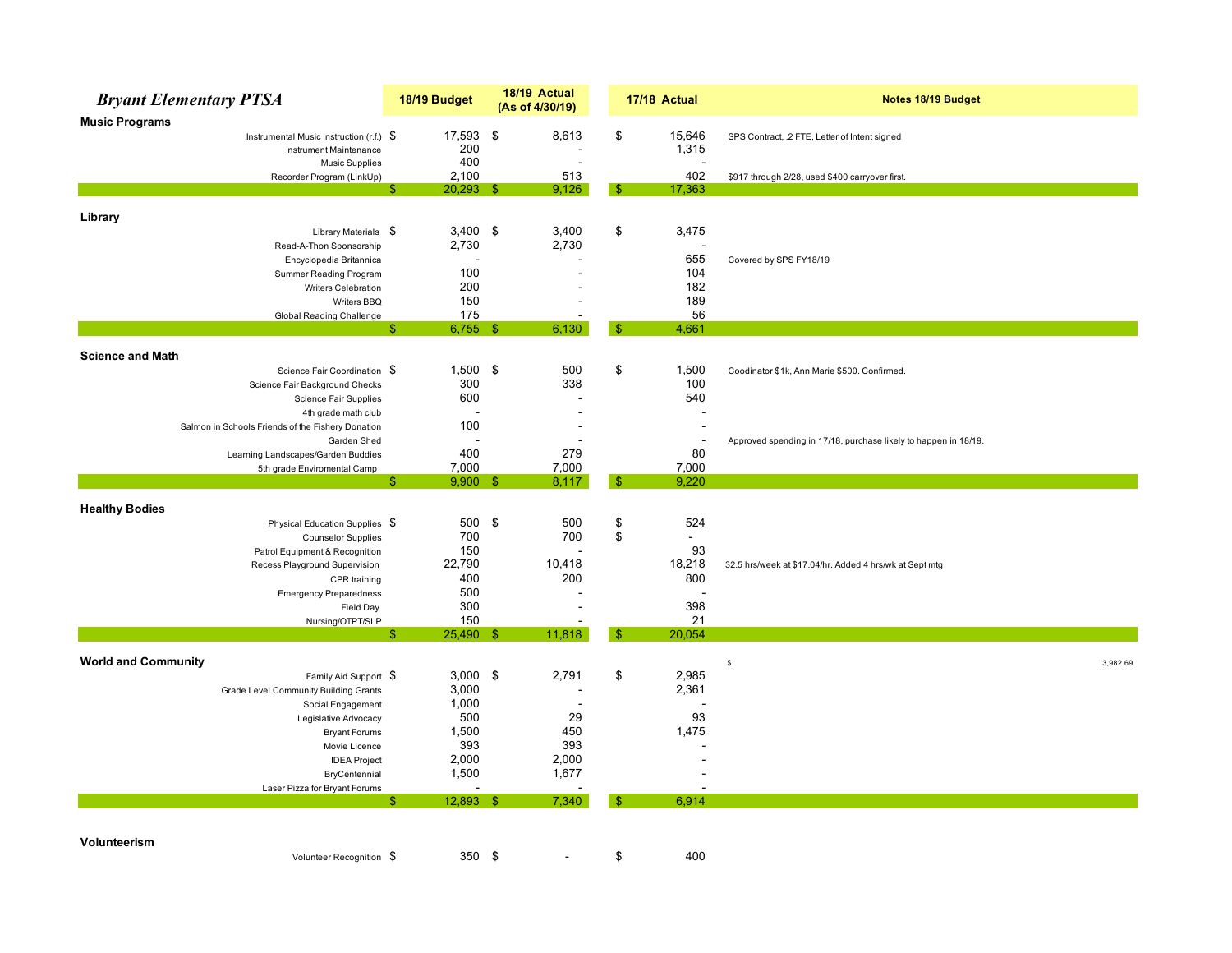|                            | <b>Bryant Elementary PTSA</b>                     |    | 18/19 Budget | 18/19 Actual<br>(As of 4/30/19) |    | 17/18 Actual   | Notes 18/19 Budget                                              |
|----------------------------|---------------------------------------------------|----|--------------|---------------------------------|----|----------------|-----------------------------------------------------------------|
| <b>Music Programs</b>      |                                                   |    |              |                                 |    |                |                                                                 |
|                            | Instrumental Music instruction (r.f.) \$          |    | 17,593       | \$<br>8,613                     | \$ | 15,646         | SPS Contract, .2 FTE, Letter of Intent signed                   |
|                            | Instrument Maintenance                            |    | 200          |                                 |    | 1,315          |                                                                 |
|                            | <b>Music Supplies</b>                             |    | 400          | Ē,                              |    |                |                                                                 |
|                            | Recorder Program (LinkUp)                         |    | 2,100        | 513                             |    | 402            | \$917 through 2/28, used \$400 carryover first.                 |
|                            |                                                   | -S | $20,293$ \$  | 9,126                           | S  | 17,363         |                                                                 |
|                            |                                                   |    |              |                                 |    |                |                                                                 |
| Library                    |                                                   |    |              |                                 |    |                |                                                                 |
|                            | Library Materials \$                              |    | $3,400$ \$   | 3,400                           | \$ | 3,475          |                                                                 |
|                            | Read-A-Thon Sponsorship                           |    | 2,730        | 2,730                           |    |                |                                                                 |
|                            | Encyclopedia Britannica                           |    |              |                                 |    | 655            | Covered by SPS FY18/19                                          |
|                            | Summer Reading Program                            |    | 100          |                                 |    | 104            |                                                                 |
|                            | Writers Celebration                               |    | 200          |                                 |    | 182            |                                                                 |
|                            | Writers BBQ                                       |    | 150          |                                 |    | 189            |                                                                 |
|                            | <b>Global Reading Challenge</b>                   | \$ | 175          |                                 | \$ | 56             |                                                                 |
|                            |                                                   |    | $6,755$ \$   | 6,130                           |    | 4,661          |                                                                 |
| <b>Science and Math</b>    |                                                   |    |              |                                 |    |                |                                                                 |
|                            | Science Fair Coordination \$                      |    | $1,500$ \$   | 500                             | \$ | 1,500          | Coodinator \$1k, Ann Marie \$500. Confirmed.                    |
|                            | Science Fair Background Checks                    |    | 300          | 338                             |    | 100            |                                                                 |
|                            | Science Fair Supplies                             |    | 600          |                                 |    | 540            |                                                                 |
|                            | 4th grade math club                               |    |              | $\blacksquare$                  |    |                |                                                                 |
|                            | Salmon in Schools Friends of the Fishery Donation |    | 100          | $\overline{\phantom{a}}$        |    |                |                                                                 |
|                            | Garden Shed                                       |    |              |                                 |    |                | Approved spending in 17/18, purchase likely to happen in 18/19. |
|                            | Learning Landscapes/Garden Buddies                |    | 400          | 279                             |    | 80             |                                                                 |
|                            | 5th grade Enviromental Camp                       |    | 7,000        | 7,000                           |    | 7,000          |                                                                 |
|                            |                                                   | £. | $9,900$ \$   | 8,117                           | -9 | 9,220          |                                                                 |
| <b>Healthy Bodies</b>      |                                                   |    |              |                                 |    |                |                                                                 |
|                            | Physical Education Supplies \$                    |    | 500 \$       | 500                             | \$ | 524            |                                                                 |
|                            | <b>Counselor Supplies</b>                         |    | 700          | 700                             | \$ | $\blacksquare$ |                                                                 |
|                            | Patrol Equipment & Recognition                    |    | 150          |                                 |    | 93             |                                                                 |
|                            | Recess Playground Supervision                     |    | 22,790       | 10,418                          |    | 18,218         | 32.5 hrs/week at \$17.04/hr. Added 4 hrs/wk at Sept mtg         |
|                            | CPR training                                      |    | 400          | 200                             |    | 800            |                                                                 |
|                            | <b>Emergency Preparedness</b>                     |    | 500          |                                 |    |                |                                                                 |
|                            | Field Day                                         |    | 300          |                                 |    | 398            |                                                                 |
|                            | Nursing/OTPT/SLP                                  |    | 150          |                                 |    | 21             |                                                                 |
|                            |                                                   | S  | 25,490 \$    | 11,818                          | \$ | 20,054         |                                                                 |
|                            |                                                   |    |              |                                 |    |                |                                                                 |
| <b>World and Community</b> |                                                   |    |              |                                 |    |                | 3,982.69<br>$\mathbb{S}$                                        |
|                            | Family Aid Support \$                             |    | 3,000        | \$<br>2,791                     | \$ | 2,985          |                                                                 |
|                            | Grade Level Community Building Grants             |    | 3,000        |                                 |    | 2,361          |                                                                 |
|                            | Social Engagement                                 |    | 1,000        |                                 |    |                |                                                                 |
|                            | Legislative Advocacy                              |    | 500          | 29                              |    | 93             |                                                                 |
|                            | <b>Bryant Forums</b>                              |    | 1,500        | 450                             |    | 1,475          |                                                                 |
|                            | Movie Licence                                     |    | 393          | 393                             |    |                |                                                                 |
|                            | <b>IDEA Project</b>                               |    | 2,000        | 2,000                           |    |                |                                                                 |
|                            | BryCentennial                                     |    | 1,500        | 1,677                           |    |                |                                                                 |
|                            | Laser Pizza for Bryant Forums                     | Я  | $12,893$ \$  | 7,340                           | -S | 6,914          |                                                                 |
|                            |                                                   |    |              |                                 |    |                |                                                                 |
|                            |                                                   |    |              |                                 |    |                |                                                                 |
| Volunteerism               |                                                   |    |              |                                 |    |                |                                                                 |
|                            | Volunteer Recognition \$                          |    | 350 \$       |                                 | \$ | 400            |                                                                 |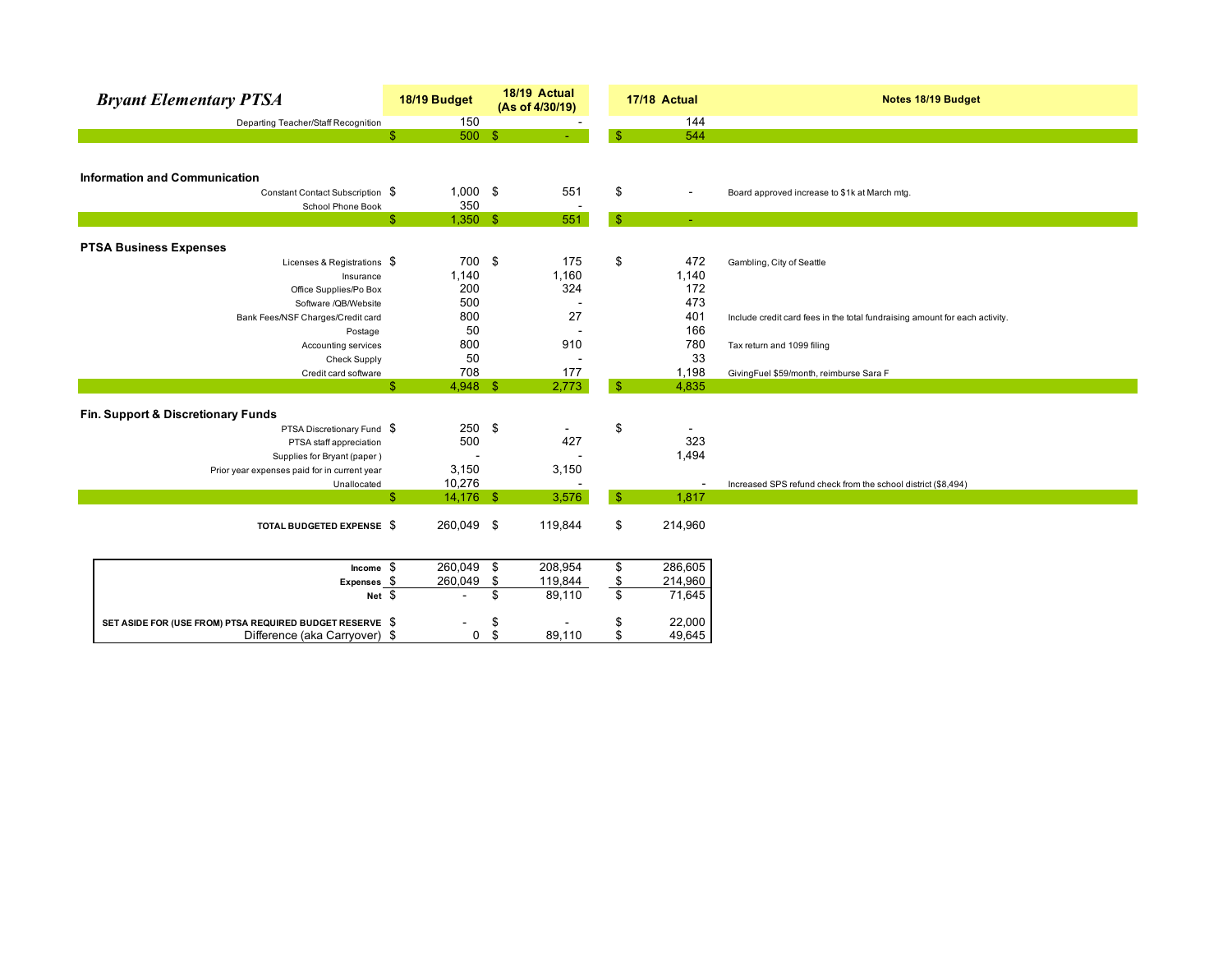| <b>Bryant Elementary PTSA</b>                            |              | 18/19 Budget             |     | 18/19 Actual<br>(As of 4/30/19) |                         | 17/18 Actual             | Notes 18/19 Budget                                                          |
|----------------------------------------------------------|--------------|--------------------------|-----|---------------------------------|-------------------------|--------------------------|-----------------------------------------------------------------------------|
| Departing Teacher/Staff Recognition                      |              | 150                      |     |                                 |                         | 144                      |                                                                             |
|                                                          | \$           | 500S                     |     |                                 | $\mathbf{\$}$           | 544                      |                                                                             |
|                                                          |              |                          |     |                                 |                         |                          |                                                                             |
|                                                          |              |                          |     |                                 |                         |                          |                                                                             |
| <b>Information and Communication</b>                     |              |                          |     |                                 |                         |                          |                                                                             |
| Constant Contact Subscription \$                         |              | $1,000$ \$               |     | 551                             | \$                      | $\blacksquare$           | Board approved increase to \$1k at March mtg.                               |
| School Phone Book                                        |              | 350                      |     |                                 |                         |                          |                                                                             |
|                                                          | $\mathbb{S}$ | $1,350$ \$               |     | 551                             | $\sqrt{2}$              | $\sim$                   |                                                                             |
| <b>PTSA Business Expenses</b>                            |              |                          |     |                                 |                         |                          |                                                                             |
| Licenses & Registrations \$                              |              | 700 \$                   |     | 175                             | \$                      | 472                      |                                                                             |
|                                                          |              | 1,140                    |     | 1,160                           |                         | 1,140                    | Gambling, City of Seattle                                                   |
| Insurance                                                |              | 200                      |     | 324                             |                         | 172                      |                                                                             |
| Office Supplies/Po Box<br>Software /QB/Website           |              | 500                      |     |                                 |                         | 473                      |                                                                             |
|                                                          |              | 800                      |     | 27                              |                         | 401                      |                                                                             |
| Bank Fees/NSF Charges/Credit card                        |              | 50                       |     |                                 |                         | 166                      | Include credit card fees in the total fundraising amount for each activity. |
| Postage                                                  |              |                          |     |                                 |                         |                          |                                                                             |
| Accounting services                                      |              | 800                      |     | 910                             |                         | 780                      | Tax return and 1099 filing                                                  |
| <b>Check Supply</b>                                      |              | 50                       |     |                                 |                         | 33                       |                                                                             |
| Credit card software                                     |              | 708                      |     | 177                             |                         | 1,198                    | GivingFuel \$59/month, reimburse Sara F                                     |
|                                                          | \$           | $4,948$ \$               |     | 2,773                           | $\sqrt{3}$              | 4,835                    |                                                                             |
| Fin. Support & Discretionary Funds                       |              |                          |     |                                 |                         |                          |                                                                             |
| PTSA Discretionary Fund \$                               |              | 250                      | -\$ |                                 | \$                      |                          |                                                                             |
| PTSA staff appreciation                                  |              | 500                      |     | 427                             |                         | 323                      |                                                                             |
| Supplies for Bryant (paper)                              |              |                          |     |                                 |                         | 1,494                    |                                                                             |
| Prior year expenses paid for in current year             |              | 3,150                    |     | 3,150                           |                         |                          |                                                                             |
| Unallocated                                              |              | 10,276                   |     |                                 |                         | $\overline{\phantom{a}}$ | Increased SPS refund check from the school district (\$8,494)               |
|                                                          | \$           | $14,176$ \$              |     | 3,576                           | $\sqrt{3}$              | 1,817                    |                                                                             |
|                                                          |              |                          |     |                                 |                         |                          |                                                                             |
| TOTAL BUDGETED EXPENSE \$                                |              | 260,049 \$               |     | 119,844                         | \$                      | 214,960                  |                                                                             |
|                                                          |              |                          |     |                                 |                         |                          |                                                                             |
|                                                          |              |                          |     |                                 |                         |                          |                                                                             |
| Income $$$                                               |              | 260,049                  | \$  | 208,954                         | $\overline{\mathbf{e}}$ | 286,605                  |                                                                             |
| $Express_5$                                              |              | 260,049                  | \$  | 119,844                         |                         | 214,960                  |                                                                             |
| Net $$$                                                  |              | $\overline{\phantom{a}}$ | \$  | 89,110                          | $\frac{\$}{\$}$         | 71,645                   |                                                                             |
|                                                          |              |                          |     |                                 |                         |                          |                                                                             |
| SET ASIDE FOR (USE FROM) PTSA REQUIRED BUDGET RESERVE \$ |              |                          | \$  |                                 | \$                      | 22,000                   |                                                                             |
| Difference (aka Carryover) \$                            |              | $\mathbf 0$              | \$  | 89,110                          | \$                      | 49,645                   |                                                                             |